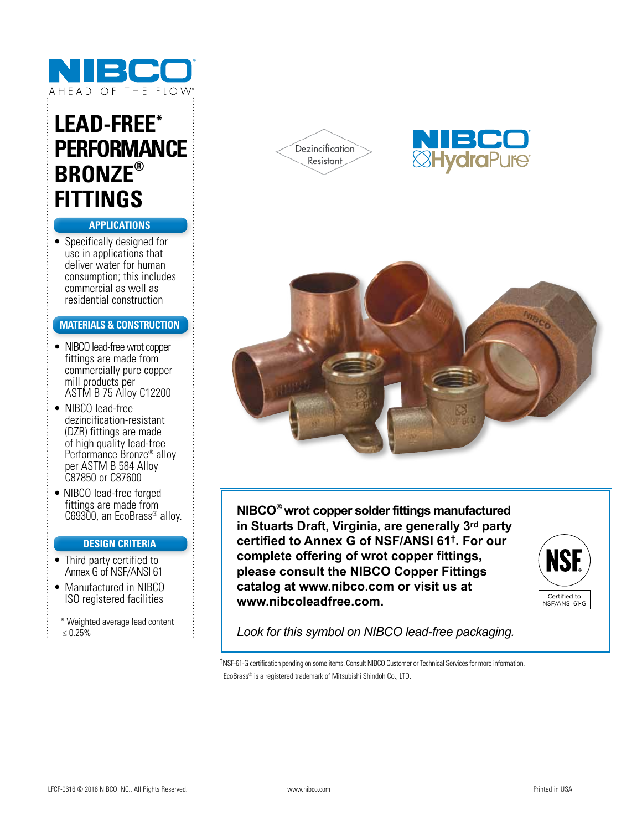

# **LEAD-FREE\* PERFORMANCE BRONZE® FITTINGS**

### **APPLICATIONS**

• Specifically designed for use in applications that deliver water for human consumption; this includes commercial as well as residential construction

#### **MATERIALS & CONSTRUCTION**

- NIBCO lead-free wrot copper fittings are made from commercially pure copper mill products per ASTM B 75 Alloy C12200
- NIBCO lead-free dezincification-resistant (DZR) fittings are made of high quality lead-free Performance Bronze® alloy per ASTM B 584 Alloy C87850 or C87600
- NIBCO lead-free forged fittings are made from C69300, an EcoBrass® alloy.

#### **DESIGN CRITERIA**

- Third party certified to Annex G of NSF/ANSI 61
- Manufactured in NIBCO ISO registered facilities
- \* Weighted average lead content ≤ 0.25%







**NIBCO® wrot copper solder fittings manufactured in Stuarts Draft, Virginia, are generally 3rd party certified to Annex G of NSF/ANSI 61†. For our complete offering of wrot copper fittings, please consult the NIBCO Copper Fittings catalog at www.nibco.com or visit us at www.nibcoleadfree.com.**



*Look for this symbol on NIBCO lead-free packaging.*

†NSF-61-G certification pending on some items. Consult NIBCO Customer or Technical Services for more information. EcoBrass® is a registered trademark of Mitsubishi Shindoh Co., LTD.